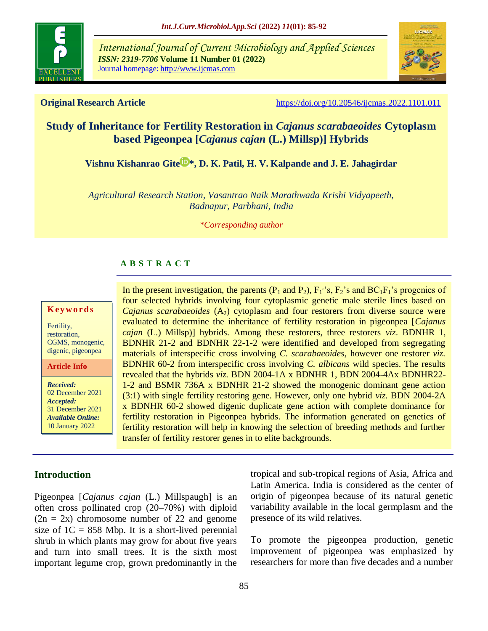

*International Journal of Current Microbiology and Applied Sciences ISSN: 2319-7706* **Volume 11 Number 01 (2022)**  Journal homepage: http://www.ijcmas.com



**Original Research Article** <https://doi.org/10.20546/ijcmas.2022.1101.011>

# **Study of Inheritance for Fertility Restoration in** *Cajanus scarabaeoides* **Cytoplasm based Pigeonpea [***Cajanus cajan* **(L.) Millsp)] Hybrids**

**[Vishnu Kishanrao Gite](https://orcid.org/0000-0001-6119-883X)<sup>** $\triangleright$ **</sup>\*, D. K. Patil, H. V. Kalpande and J. E. Jahagirdar** 

*Agricultural Research Station, Vasantrao Naik Marathwada Krishi Vidyapeeth, Badnapur, Parbhani, India*

*\*Corresponding author*

## **A B S T R A C T**

#### **K ey w o rd s**

Fertility, restoration, CGMS, monogenic, digenic, pigeonpea

**Article Info**

*Received:*  02 December 2021 *Accepted:*  31 December 2021 *Available Online:* 10 January 2022

In the present investigation, the parents ( $P_1$  and  $P_2$ ),  $F_1$ 's,  $F_2$ 's and  $BC_1F_1$ 's progenies of four selected hybrids involving four cytoplasmic genetic male sterile lines based on *Cajanus scarabaeoides*  $(A_2)$  cytoplasm and four restorers from diverse source were evaluated to determine the inheritance of fertility restoration in pigeonpea [*Cajanus cajan* (L.) Millsp)] hybrids. Among these restorers, three restorers *viz*. BDNHR 1, BDNHR 21-2 and BDNHR 22-1-2 were identified and developed from segregating materials of interspecific cross involving *C. scarabaeoides,* however one restorer *viz.* BDNHR 60-2 from interspecific cross involving *C. albicans* wild species. The results revealed that the hybrids *viz.* BDN 2004-1A x BDNHR 1, BDN 2004-4Ax BDNHR22- 1-2 and BSMR 736A x BDNHR 21-2 showed the monogenic dominant gene action (3:1) with single fertility restoring gene. However, only one hybrid *viz.* BDN 2004-2A x BDNHR 60-2 showed digenic duplicate gene action with complete dominance for fertility restoration in Pigeonpea hybrids. The information generated on genetics of fertility restoration will help in knowing the selection of breeding methods and further transfer of fertility restorer genes in to elite backgrounds.

## **Introduction**

Pigeonpea [*Cajanus cajan* (L.) Millspaugh] is an often cross pollinated crop (20–70%) with diploid  $(2n = 2x)$  chromosome number of 22 and genome size of  $1C = 858$  Mbp. It is a short-lived perennial shrub in which plants may grow for about five years and turn into small trees. It is the sixth most important legume crop, grown predominantly in the tropical and sub-tropical regions of Asia, Africa and Latin America. India is considered as the center of origin of pigeonpea because of its natural genetic variability available in the local germplasm and the presence of its wild relatives.

To promote the pigeonpea production, genetic improvement of pigeonpea was emphasized by researchers for more than five decades and a number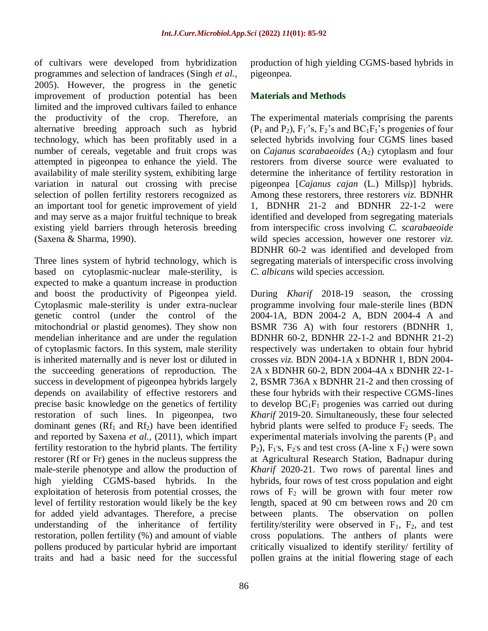of cultivars were developed from hybridization programmes and selection of landraces (Singh *et al.,* 2005). However, the progress in the genetic improvement of production potential has been limited and the improved cultivars failed to enhance the productivity of the crop. Therefore, an alternative breeding approach such as hybrid technology, which has been profitably used in a number of cereals, vegetable and fruit crops was attempted in pigeonpea to enhance the yield. The availability of male sterility system, exhibiting large variation in natural out crossing with precise selection of pollen fertility restorers recognized as an important tool for genetic improvement of yield and may serve as a major fruitful technique to break existing yield barriers through heterosis breeding (Saxena & Sharma, 1990).

Three lines system of hybrid technology, which is based on cytoplasmic-nuclear male-sterility, is expected to make a quantum increase in production and boost the productivity of Pigeonpea yield. Cytoplasmic male-sterility is under extra-nuclear genetic control (under the control of the mitochondrial or plastid genomes). They show non mendelian inheritance and are under the regulation of cytoplasmic factors. In this system, male sterility is inherited maternally and is never lost or diluted in the succeeding generations of reproduction. The success in development of pigeonpea hybrids largely depends on availability of effective restorers and precise basic knowledge on the genetics of fertility restoration of such lines. In pigeonpea, two dominant genes  $(Rf_1$  and  $Rf_2)$  have been identified and reported by Saxena *et al.,* (2011), which impart fertility restoration to the hybrid plants. The fertility restorer (Rf or Fr) genes in the nucleus suppress the male-sterile phenotype and allow the production of high yielding CGMS-based hybrids. In the exploitation of heterosis from potential crosses, the level of fertility restoration would likely be the key for added yield advantages. Therefore, a precise understanding of the inheritance of fertility restoration, pollen fertility (%) and amount of viable pollens produced by particular hybrid are important traits and had a basic need for the successful production of high yielding CGMS-based hybrids in pigeonpea.

#### **Materials and Methods**

The experimental materials comprising the parents  $(P_1 \text{ and } P_2)$ ,  $F_1$ 's,  $F_2$ 's and  $BC_1F_1$ 's progenies of four selected hybrids involving four CGMS lines based on *Cajanus scarabaeoides*  $(A_2)$  cytoplasm and four restorers from diverse source were evaluated to determine the inheritance of fertility restoration in pigeonpea [*Cajanus cajan* (L.) Millsp)] hybrids. Among these restorers, three restorers *viz*. BDNHR 1, BDNHR 21-2 and BDNHR 22-1-2 were identified and developed from segregating materials from interspecific cross involving *C. scarabaeoide* wild species accession*,* however one restorer *viz.* BDNHR 60-2 was identified and developed from segregating materials of interspecific cross involving *C. albicans* wild species accession.

During *Kharif* 2018-19 season, the crossing programme involving four male-sterile lines (BDN 2004-1A, BDN 2004-2 A, BDN 2004-4 A and BSMR 736 A) with four restorers (BDNHR 1, BDNHR 60-2, BDNHR 22-1-2 and BDNHR 21-2) respectively was undertaken to obtain four hybrid crosses *viz.* BDN 2004-1A x BDNHR 1, BDN 2004- 2A x BDNHR 60-2, BDN 2004-4A x BDNHR 22-1- 2, BSMR 736A x BDNHR 21-2 and then crossing of these four hybrids with their respective CGMS-lines to develop  $BC_1F_1$  progenies was carried out during *Kharif* 2019-20. Simultaneously, these four selected hybrid plants were selfed to produce  $F_2$  seeds. The experimental materials involving the parents  $(P_1$  and  $P_2$ ),  $F_1$ 's,  $F_2$ 's and test cross (A-line x  $F_1$ ) were sown at Agricultural Research Station, Badnapur during *Kharif* 2020-21. Two rows of parental lines and hybrids, four rows of test cross population and eight rows of  $F_2$  will be grown with four meter row length, spaced at 90 cm between rows and 20 cm between plants. The observation on pollen fertility/sterility were observed in  $F_1$ ,  $F_2$ , and test cross populations. The anthers of plants were critically visualized to identify sterility/ fertility of pollen grains at the initial flowering stage of each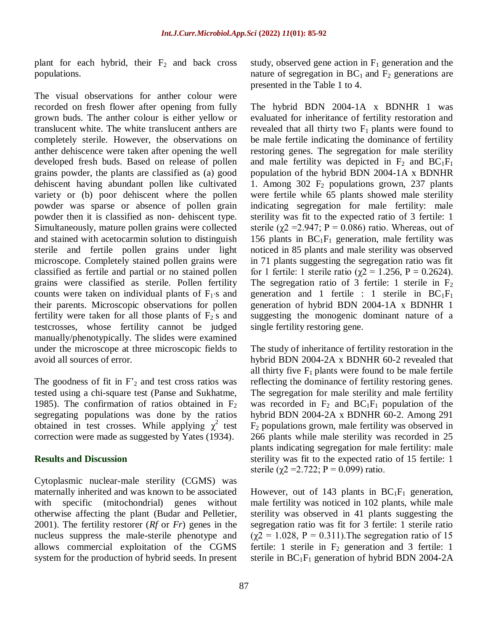plant for each hybrid, their  $F_2$  and back cross populations.

The visual observations for anther colour were recorded on fresh flower after opening from fully grown buds. The anther colour is either yellow or translucent white. The white translucent anthers are completely sterile. However, the observations on anther dehiscence were taken after opening the well developed fresh buds. Based on release of pollen grains powder, the plants are classified as (a) good dehiscent having abundant pollen like cultivated variety or (b) poor dehiscent where the pollen powder was sparse or absence of pollen grain powder then it is classified as non- dehiscent type. Simultaneously, mature pollen grains were collected and stained with acetocarmin solution to distinguish sterile and fertile pollen grains under light microscope. Completely stained pollen grains were classified as fertile and partial or no stained pollen grains were classified as sterile. Pollen fertility counts were taken on individual plants of  $F_1$ 's and their parents. Microscopic observations for pollen fertility were taken for all those plants of  $\overrightarrow{F_2}$  and testcrosses, whose fertility cannot be judged manually/phenotypically. The slides were examined under the microscope at three microscopic fields to avoid all sources of error.

The goodness of fit in  $F_2$  and test cross ratios was tested using a chi-square test (Panse and Sukhatme, 1985). The confirmation of ratios obtained in  $F_2$ segregating populations was done by the ratios obtained in test crosses. While applying  $\chi^2$  test correction were made as suggested by Yates (1934).

#### **Results and Discussion**

Cytoplasmic nuclear-male sterility (CGMS) was maternally inherited and was known to be associated with specific (mitochondrial) genes without otherwise affecting the plant (Budar and Pelletier, 2001). The fertility restorer (*Rf* or *Fr*) genes in the nucleus suppress the male-sterile phenotype and allows commercial exploitation of the CGMS system for the production of hybrid seeds. In present study, observed gene action in  $F_1$  generation and the nature of segregation in  $BC_1$  and  $F_2$  generations are presented in the Table 1 to 4.

The hybrid BDN 2004-1A x BDNHR 1 was evaluated for inheritance of fertility restoration and revealed that all thirty two  $F_1$  plants were found to be male fertile indicating the dominance of fertility restoring genes. The segregation for male sterility and male fertility was depicted in  $F_2$  and  $BC_1F_1$ population of the hybrid BDN 2004-1A x BDNHR 1. Among  $302 \text{ F}_2$  populations grown, 237 plants were fertile while 65 plants showed male sterility indicating segregation for male fertility: male sterility was fit to the expected ratio of 3 fertile: 1 sterile ( $\chi$ 2 = 2.947; P = 0.086) ratio. Whereas, out of 156 plants in  $BC_1F_1$  generation, male fertility was noticed in 85 plants and male sterility was observed in 71 plants suggesting the segregation ratio was fit for 1 fertile: 1 sterile ratio ( $χ$ 2 = 1.256, P = 0.2624). The segregation ratio of 3 fertile: 1 sterile in  $F_2$ generation and 1 fertile : 1 sterile in  $BC_1F_1$ generation of hybrid BDN 2004-1A x BDNHR 1 suggesting the monogenic dominant nature of a single fertility restoring gene.

The study of inheritance of fertility restoration in the hybrid BDN 2004-2A x BDNHR 60-2 revealed that all thirty five  $F_1$  plants were found to be male fertile reflecting the dominance of fertility restoring genes. The segregation for male sterility and male fertility was recorded in  $F_2$  and  $BC_1F_1$  population of the hybrid BDN 2004-2A x BDNHR 60-2. Among 291  $F_2$  populations grown, male fertility was observed in 266 plants while male sterility was recorded in 25 plants indicating segregation for male fertility: male sterility was fit to the expected ratio of 15 fertile: 1 sterile ( $\gamma$ 2 = 2.722; P = 0.099) ratio.

However, out of 143 plants in  $BC_1F_1$  generation, male fertility was noticed in 102 plants, while male sterility was observed in 41 plants suggesting the segregation ratio was fit for 3 fertile: 1 sterile ratio  $(\gamma 2 = 1.028, P = 0.311)$ . The segregation ratio of 15 fertile: 1 sterile in  $F_2$  generation and 3 fertile: 1 sterile in  $BC_1F_1$  generation of hybrid BDN 2004-2A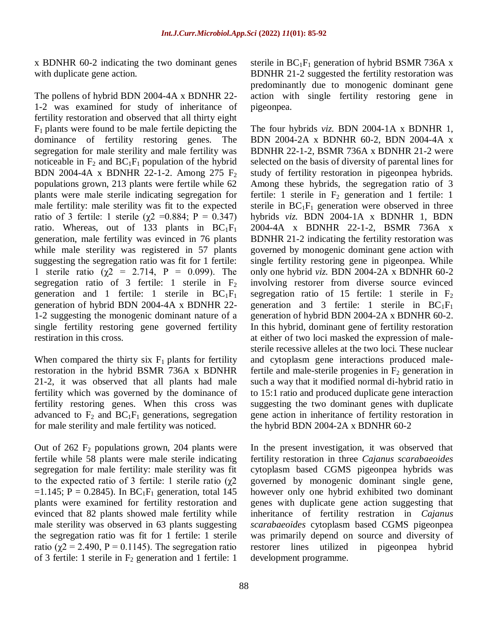x BDNHR 60-2 indicating the two dominant genes with duplicate gene action.

The pollens of hybrid BDN 2004-4A x BDNHR 22- 1-2 was examined for study of inheritance of fertility restoration and observed that all thirty eight  $F_1$  plants were found to be male fertile depicting the dominance of fertility restoring genes. The segregation for male sterility and male fertility was noticeable in  $F_2$  and  $BC_1F_1$  population of the hybrid BDN 2004-4A x BDNHR 22-1-2. Among 275 F<sub>2</sub> populations grown, 213 plants were fertile while 62 plants were male sterile indicating segregation for male fertility: male sterility was fit to the expected ratio of 3 fertile: 1 sterile ( $χ$ 2 = 0.884; P = 0.347) ratio. Whereas, out of 133 plants in  $BC_1F_1$ generation, male fertility was evinced in 76 plants while male sterility was registered in 57 plants suggesting the segregation ratio was fit for 1 fertile: 1 sterile ratio ( $\chi$ 2 = 2.714, P = 0.099). The segregation ratio of 3 fertile: 1 sterile in  $F_2$ generation and 1 fertile: 1 sterile in  $BC_1F_1$ generation of hybrid BDN 2004-4A x BDNHR 22- 1-2 suggesting the monogenic dominant nature of a single fertility restoring gene governed fertility restiration in this cross.

When compared the thirty six  $F_1$  plants for fertility restoration in the hybrid BSMR 736A x BDNHR 21-2, it was observed that all plants had male fertility which was governed by the dominance of fertility restoring genes. When this cross was advanced to  $F_2$  and  $BC_1F_1$  generations, segregation for male sterility and male fertility was noticed.

Out of  $262 \text{ F}_2$  populations grown, 204 plants were fertile while 58 plants were male sterile indicating segregation for male fertility: male sterility was fit to the expected ratio of 3 fertile: 1 sterile ratio (χ2  $=1.145$ ; P = 0.2845). In BC<sub>1</sub>F<sub>1</sub> generation, total 145 plants were examined for fertility restoration and evinced that 82 plants showed male fertility while male sterility was observed in 63 plants suggesting the segregation ratio was fit for 1 fertile: 1 sterile ratio ( $\gamma$ 2 = 2.490, P = 0.1145). The segregation ratio of 3 fertile: 1 sterile in  $F_2$  generation and 1 fertile: 1

sterile in  $BC_1F_1$  generation of hybrid BSMR 736A x BDNHR 21-2 suggested the fertility restoration was predominantly due to monogenic dominant gene action with single fertility restoring gene in pigeonpea.

The four hybrids *viz.* BDN 2004-1A x BDNHR 1, BDN 2004-2A x BDNHR 60-2, BDN 2004-4A x BDNHR 22-1-2, BSMR 736A x BDNHR 21-2 were selected on the basis of diversity of parental lines for study of fertility restoration in pigeonpea hybrids. Among these hybrids, the segregation ratio of 3 fertile: 1 sterile in  $F_2$  generation and 1 fertile: 1 sterile in  $BC_1F_1$  generation were observed in three hybrids *viz.* BDN 2004-1A x BDNHR 1, BDN 2004-4A x BDNHR 22-1-2, BSMR 736A x BDNHR 21-2 indicating the fertility restoration was governed by monogenic dominant gene action with single fertility restoring gene in pigeonpea. While only one hybrid *viz.* BDN 2004-2A x BDNHR 60-2 involving restorer from diverse source evinced segregation ratio of 15 fertile: 1 sterile in  $F_2$ generation and 3 fertile: 1 sterile in  $BC_1F_1$ generation of hybrid BDN 2004-2A x BDNHR 60-2. In this hybrid, dominant gene of fertility restoration at either of two loci masked the expression of malesterile recessive alleles at the two loci. These nuclear and cytoplasm gene interactions produced malefertile and male-sterile progenies in  $F_2$  generation in such a way that it modified normal di-hybrid ratio in to 15:1 ratio and produced duplicate gene interaction suggesting the two dominant genes with duplicate gene action in inheritance of fertility restoration in the hybrid BDN 2004-2A x BDNHR 60-2

In the present investigation, it was observed that fertility restoration in three *Cajanus scarabaeoides*  cytoplasm based CGMS pigeonpea hybrids was governed by monogenic dominant single gene, however only one hybrid exhibited two dominant genes with duplicate gene action suggesting that inheritance of fertility restration in *Cajanus scarabaeoides* cytoplasm based CGMS pigeonpea was primarily depend on source and diversity of restorer lines utilized in pigeonpea hybrid development programme.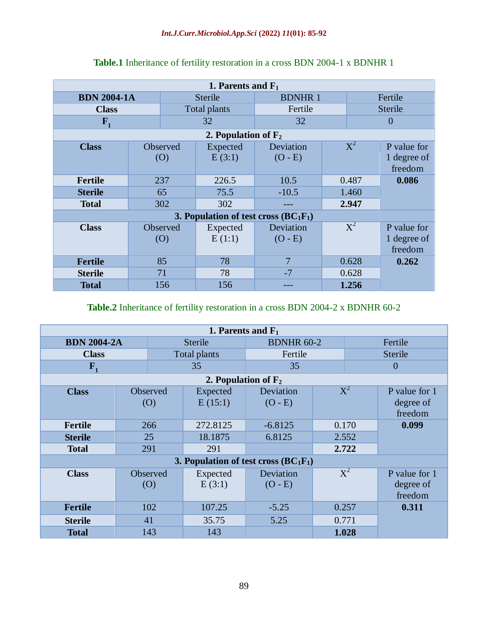| 1. Parents and $F_1$                    |                 |                    |                        |       |                |                                       |  |  |  |  |
|-----------------------------------------|-----------------|--------------------|------------------------|-------|----------------|---------------------------------------|--|--|--|--|
| <b>BDN 2004-1A</b>                      |                 | <b>Sterile</b>     | <b>BDNHR1</b>          |       | Fertile        |                                       |  |  |  |  |
| <b>Class</b>                            |                 | Total plants       | Fertile                |       | <b>Sterile</b> |                                       |  |  |  |  |
| $\mathbf{F}_{1}$                        |                 |                    | 32                     |       | $\theta$       |                                       |  |  |  |  |
| 2. Population of $F_2$                  |                 |                    |                        |       |                |                                       |  |  |  |  |
| <b>Class</b>                            | Observed<br>(0) | Expected<br>E(3:1) | Deviation<br>$(O - E)$ |       | $X^2$          | P value for<br>1 degree of<br>freedom |  |  |  |  |
| Fertile                                 | 237             | 226.5              | 10.5                   | 0.487 |                | 0.086                                 |  |  |  |  |
| <b>Sterile</b>                          | 65              | 75.5               | $-10.5$                |       | 1.460          |                                       |  |  |  |  |
| <b>Total</b>                            | 302             | 302                |                        | 2.947 |                |                                       |  |  |  |  |
| 3. Population of test cross $(BC_1F_1)$ |                 |                    |                        |       |                |                                       |  |  |  |  |
| <b>Class</b>                            | Observed<br>(0) | Expected<br>E(1:1) | Deviation<br>$(O - E)$ |       | $X^2$          | P value for<br>1 degree of<br>freedom |  |  |  |  |
| <b>Fertile</b>                          | 85              | 78                 | 7                      |       | 0.628          | 0.262                                 |  |  |  |  |
| <b>Sterile</b>                          | 71              | 78                 | $-7$                   |       | 0.628          |                                       |  |  |  |  |
| <b>Total</b>                            | 156             | 156                |                        |       | 1.256          |                                       |  |  |  |  |

## **Table.1** Inheritance of fertility restoration in a cross BDN 2004-1 x BDNHR 1

#### **Table.2** Inheritance of fertility restoration in a cross BDN 2004-2 x BDNHR 60-2

| 1. Parents and $F_1$                    |  |                 |                     |                        |                  |                           |                                       |  |  |
|-----------------------------------------|--|-----------------|---------------------|------------------------|------------------|---------------------------|---------------------------------------|--|--|
| <b>BDN 2004-2A</b>                      |  |                 | <b>Sterile</b>      | <b>BDNHR 60-2</b>      |                  | Fertile                   |                                       |  |  |
| <b>Class</b>                            |  | Total plants    | Fertile             |                        | <b>Sterile</b>   |                           |                                       |  |  |
| $\mathbf{F}_{1}$                        |  |                 | 35                  | 35                     |                  | 0                         |                                       |  |  |
| 2. Population of $F_2$                  |  |                 |                     |                        |                  |                           |                                       |  |  |
| <b>Class</b>                            |  | Observed<br>(O) | Expected<br>E(15:1) | Deviation<br>$(O - E)$ | $\rm \text{X}^2$ |                           | P value for 1<br>degree of<br>freedom |  |  |
| <b>Fertile</b>                          |  | 266             | 272.8125            | $-6.8125$              |                  | 0.170                     | 0.099                                 |  |  |
| <b>Sterile</b>                          |  | 25              | 18.1875             | 6.8125                 |                  | 2.552                     |                                       |  |  |
| <b>Total</b>                            |  | 291             | 291                 |                        | 2.722            |                           |                                       |  |  |
| 3. Population of test cross $(BC_1F_1)$ |  |                 |                     |                        |                  |                           |                                       |  |  |
| <b>Class</b>                            |  | Observed<br>(O) | Expected<br>E(3:1)  | Deviation<br>$(O - E)$ |                  | $\overline{\mathrm{X}^2}$ | P value for 1<br>degree of<br>freedom |  |  |
| <b>Fertile</b>                          |  | 102             | 107.25              | $-5.25$                |                  | 0.257                     | 0.311                                 |  |  |
| <b>Sterile</b>                          |  | 41              | 35.75               | 5.25                   |                  | 0.771                     |                                       |  |  |
| <b>Total</b>                            |  | 143             | 143                 |                        |                  | 1.028                     |                                       |  |  |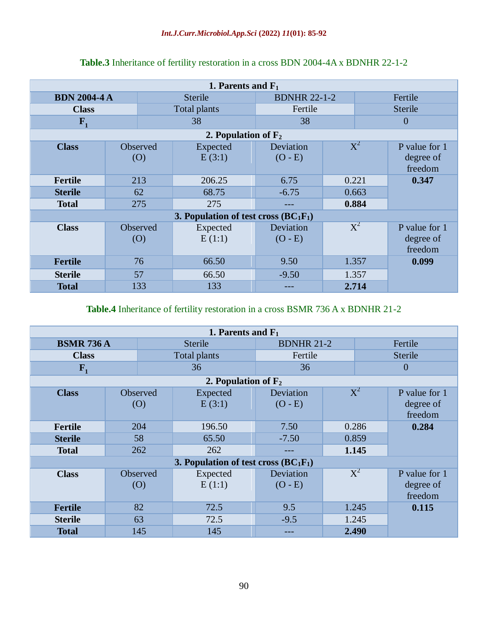| 1. Parents and $F_1$                    |                        |                     |                     |                        |                |                |                                       |  |  |
|-----------------------------------------|------------------------|---------------------|---------------------|------------------------|----------------|----------------|---------------------------------------|--|--|
| <b>BDN 2004-4 A</b>                     |                        | <b>Sterile</b>      | <b>BDNHR 22-1-2</b> |                        | Fertile        |                |                                       |  |  |
| <b>Class</b>                            |                        | <b>Total plants</b> | Fertile             |                        | <b>Sterile</b> |                |                                       |  |  |
| $F_{1}$                                 |                        |                     | 38                  | 38                     |                | $\overline{0}$ |                                       |  |  |
| 2. Population of $F_2$                  |                        |                     |                     |                        |                |                |                                       |  |  |
| <b>Class</b>                            | Observed<br>$\left($ O |                     | Expected<br>E(3:1)  | Deviation<br>$(O - E)$ |                | $X^2$          | P value for 1<br>degree of<br>freedom |  |  |
| Fertile                                 | 213                    |                     | 206.25              | 6.75                   |                | 0.221          | 0.347                                 |  |  |
| <b>Sterile</b>                          | 62                     |                     | 68.75               | $-6.75$                |                | 0.663          |                                       |  |  |
| <b>Total</b>                            | 275                    |                     | 275                 | ---                    | 0.884          |                |                                       |  |  |
| 3. Population of test cross $(BC_1F_1)$ |                        |                     |                     |                        |                |                |                                       |  |  |
| <b>Class</b>                            | Observed<br>(O)        |                     | Expected<br>E(1:1)  | Deviation<br>$(O - E)$ |                | $X^2$          | P value for 1<br>degree of<br>freedom |  |  |
| <b>Fertile</b>                          | 76                     |                     | 66.50               | 9.50                   |                | 1.357          | 0.099                                 |  |  |
| <b>Sterile</b>                          | 57                     |                     | 66.50               | $-9.50$                |                | 1.357          |                                       |  |  |
| <b>Total</b>                            | 133                    |                     | 133                 |                        |                | 2.714          |                                       |  |  |

## **Table.3** Inheritance of fertility restoration in a cross BDN 2004-4A x BDNHR 22-1-2

## **Table.4** Inheritance of fertility restoration in a cross BSMR 736 A x BDNHR 21-2

| 1. Parents and $F_1$                    |                        |                     |                        |       |                |                                       |  |  |  |
|-----------------------------------------|------------------------|---------------------|------------------------|-------|----------------|---------------------------------------|--|--|--|
| <b>BSMR 736 A</b>                       |                        | <b>Sterile</b>      | <b>BDNHR 21-2</b>      |       | Fertile        |                                       |  |  |  |
| <b>Class</b>                            |                        | <b>Total plants</b> | Fertile                |       | <b>Sterile</b> |                                       |  |  |  |
| $F_{1}$                                 |                        | 36                  | 36                     |       | $\overline{0}$ |                                       |  |  |  |
| 2. Population of $F_2$                  |                        |                     |                        |       |                |                                       |  |  |  |
| <b>Class</b>                            | Observed<br>(0)        | Expected<br>E(3:1)  | Deviation<br>$(O - E)$ |       | $X^2$          | P value for 1<br>degree of<br>freedom |  |  |  |
| <b>Fertile</b>                          | 204                    | 196.50              | 7.50                   |       | 0.286          | 0.284                                 |  |  |  |
| <b>Sterile</b>                          | 58                     | 65.50               | $-7.50$                |       | 0.859          |                                       |  |  |  |
| <b>Total</b>                            | 262                    | 262                 | ---                    | 1.145 |                |                                       |  |  |  |
| 3. Population of test cross $(BC_1F_1)$ |                        |                     |                        |       |                |                                       |  |  |  |
| <b>Class</b>                            | Observed<br>$\left($ O | Expected<br>E(1:1)  | Deviation<br>$(O - E)$ |       | $X^2$          | P value for 1<br>degree of<br>freedom |  |  |  |
| <b>Fertile</b>                          | 82                     | 72.5                | 9.5                    |       | 1.245          | 0.115                                 |  |  |  |
| <b>Sterile</b>                          | 63                     | 72.5                | $-9.5$                 |       | 1.245          |                                       |  |  |  |
| <b>Total</b>                            | 145                    | 145                 | ---                    |       | 2.490          |                                       |  |  |  |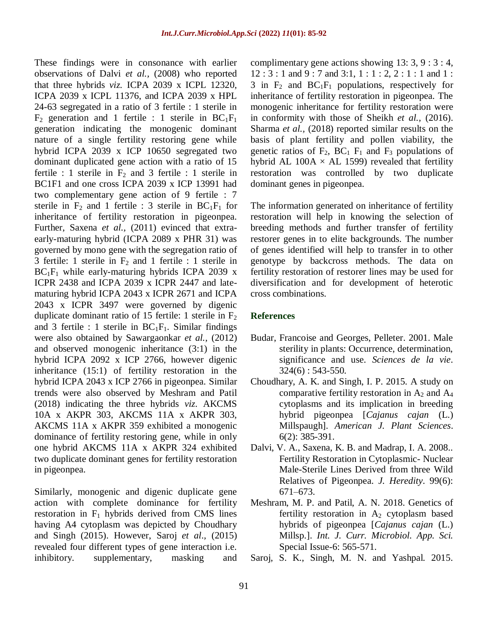These findings were in consonance with earlier observations of Dalvi *et al.,* (2008) who reported that three hybrids *viz.* ICPA 2039 x ICPL 12320, ICPA 2039 x ICPL 11376, and ICPA 2039 x HPL 24-63 segregated in a ratio of 3 fertile : 1 sterile in  $F_2$  generation and 1 fertile : 1 sterile in  $BC_1F_1$ generation indicating the monogenic dominant nature of a single fertility restoring gene while hybrid ICPA 2039 x ICP 10650 segregated two dominant duplicated gene action with a ratio of 15 fertile : 1 sterile in  $F_2$  and 3 fertile : 1 sterile in BC1F1 and one cross ICPA 2039 x ICP 13991 had two complementary gene action of 9 fertile : 7 sterile in  $F_2$  and 1 fertile : 3 sterile in  $BC_1F_1$  for inheritance of fertility restoration in pigeonpea. Further, Saxena et al., (2011) evinced that extraearly-maturing hybrid (ICPA 2089 x PHR 31) was governed by mono gene with the segregation ratio of 3 fertile: 1 sterile in  $F_2$  and 1 fertile : 1 sterile in  $BC<sub>1</sub>F<sub>1</sub>$  while early-maturing hybrids ICPA 2039 x ICPR 2438 and ICPA 2039 x ICPR 2447 and latematuring hybrid ICPA 2043 x ICPR 2671 and ICPA 2043 x ICPR 3497 were governed by digenic duplicate dominant ratio of 15 fertile: 1 sterile in  $F_2$ and 3 fertile : 1 sterile in  $BC_1F_1$ . Similar findings were also obtained by Sawargaonkar *et al.,* (2012) and observed monogenic inheritance (3:1) in the hybrid ICPA 2092 x ICP 2766, however digenic inheritance (15:1) of fertility restoration in the hybrid ICPA 2043 x ICP 2766 in pigeonpea. Similar trends were also observed by Meshram and Patil (2018) indicating the three hybrids *viz*. AKCMS 10A x AKPR 303, AKCMS 11A x AKPR 303, AKCMS 11A x AKPR 359 exhibited a monogenic dominance of fertility restoring gene, while in only one hybrid AKCMS 11A x AKPR 324 exhibited two duplicate dominant genes for fertility restoration in pigeonpea.

Similarly, monogenic and digenic duplicate gene action with complete dominance for fertility restoration in  $F_1$  hybrids derived from CMS lines having A4 cytoplasm was depicted by Choudhary and Singh (2015). However, Saroj *et al*.*,* (2015) revealed four different types of gene interaction i.e. inhibitory. supplementary, masking and

complimentary gene actions showing 13: 3, 9 : 3 : 4, 12 : 3 : 1 and 9 : 7 and 3:1, 1 : 1 : 2, 2 : 1 : 1 and 1 : 3 in  $F_2$  and  $BC_1F_1$  populations, respectively for inheritance of fertility restoration in pigeonpea. The monogenic inheritance for fertility restoration were in conformity with those of Sheikh *et al.,* (2016). Sharma *et al.,* (2018) reported similar results on the basis of plant fertility and pollen viability, the genetic ratios of  $F_2$ ,  $BC_1$ ,  $F_1$  and  $F_3$  populations of hybrid AL 100A  $\times$  AL 1599) revealed that fertility restoration was controlled by two duplicate dominant genes in pigeonpea.

The information generated on inheritance of fertility restoration will help in knowing the selection of breeding methods and further transfer of fertility restorer genes in to elite backgrounds. The number of genes identified will help to transfer in to other genotype by backcross methods. The data on fertility restoration of restorer lines may be used for diversification and for development of heterotic cross combinations.

#### **References**

- Budar, Francoise and Georges, Pelleter. 2001. Male sterility in plants: Occurrence, determination, significance and use. *Sciences de la vie*.  $324(6) : 543-550.$
- Choudhary, A. K. and Singh, I. P. 2015. A study on comparative fertility restoration in  $A_2$  and  $A_4$ cytoplasms and its implication in breeding hybrid pigeonpea [*Cajanus cajan* (L.) Millspaugh]. *American J. Plant Sciences*. 6(2): 385-391.
- Dalvi, V. A., Saxena, K. B. and Madrap, I. A. 2008.. Fertility Restoration in Cytoplasmic- Nuclear Male-Sterile Lines Derived from three Wild Relatives of Pigeonpea. *J. Heredity*. 99(6): 671–673.
- Meshram, M. P. and Patil, A. N. 2018. Genetics of fertility restoration in  $A_2$  cytoplasm based hybrids of pigeonpea [*Cajanus cajan* (L.) Millsp.]. *Int. J. Curr. Microbiol. App. Sci.* Special Issue-6: 565-571.
- Saroj, S. K., Singh, M. N. and Yashpal. 2015.